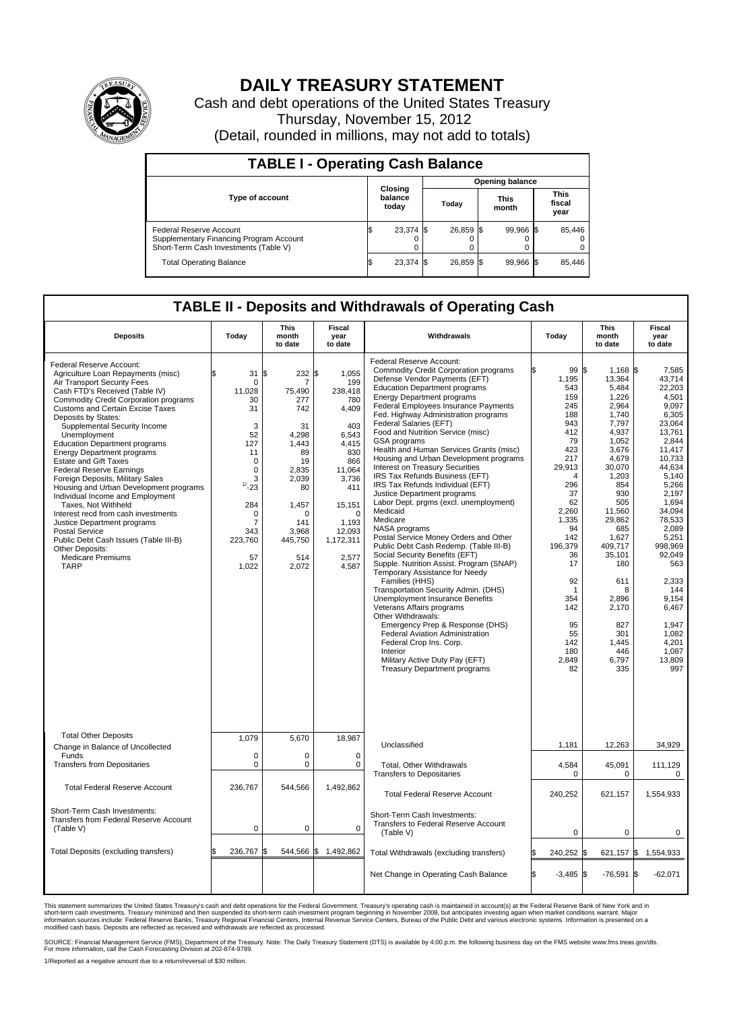

## **DAILY TREASURY STATEMENT**

Cash and debt operations of the United States Treasury Thursday, November 15, 2012 (Detail, rounded in millions, may not add to totals)

| <b>TABLE I - Operating Cash Balance</b>                                                                     |                             |             |       |                        |                      |                |                               |        |  |  |
|-------------------------------------------------------------------------------------------------------------|-----------------------------|-------------|-------|------------------------|----------------------|----------------|-------------------------------|--------|--|--|
|                                                                                                             |                             |             |       | <b>Opening balance</b> |                      |                |                               |        |  |  |
| <b>Type of account</b>                                                                                      | Closing<br>balance<br>today |             | Today |                        | <b>This</b><br>month |                | <b>This</b><br>fiscal<br>year |        |  |  |
| Federal Reserve Account<br>Supplementary Financing Program Account<br>Short-Term Cash Investments (Table V) | IФ                          | $23,374$ \$ |       | 26,859 \$              |                      | 99,966 \$<br>0 |                               | 85,446 |  |  |
| <b>Total Operating Balance</b>                                                                              | IΦ                          | 23,374      |       | 26,859 \$              |                      | 99,966 \$      |                               | 85,446 |  |  |

## **TABLE II - Deposits and Withdrawals of Operating Cash**

| <b>Deposits</b>                                                                                                                                                                                                                                                                                                                                                                                                                                                                                                                                                                                                                                                                                                                                                                           | Today                                                                                                                                                 | <b>This</b><br>month<br>to date                                                                                                                                     | Fiscal<br>year<br>to date                                                                                                                                                              | Withdrawals                                                                                                                                                                                                                                                                                                                                                                                                                                                                                                                                                                                                                                                                                                                                                                                                                                                                                                                                                                                                                                                                                                                                                                                                                         | Today                                                                                                                                                                                                                                               | <b>This</b><br>month<br>to date                                                                                                                                                                                                                                                         | Fiscal<br>year<br>to date                                                                                                                                                                                                                                                                                    |  |
|-------------------------------------------------------------------------------------------------------------------------------------------------------------------------------------------------------------------------------------------------------------------------------------------------------------------------------------------------------------------------------------------------------------------------------------------------------------------------------------------------------------------------------------------------------------------------------------------------------------------------------------------------------------------------------------------------------------------------------------------------------------------------------------------|-------------------------------------------------------------------------------------------------------------------------------------------------------|---------------------------------------------------------------------------------------------------------------------------------------------------------------------|----------------------------------------------------------------------------------------------------------------------------------------------------------------------------------------|-------------------------------------------------------------------------------------------------------------------------------------------------------------------------------------------------------------------------------------------------------------------------------------------------------------------------------------------------------------------------------------------------------------------------------------------------------------------------------------------------------------------------------------------------------------------------------------------------------------------------------------------------------------------------------------------------------------------------------------------------------------------------------------------------------------------------------------------------------------------------------------------------------------------------------------------------------------------------------------------------------------------------------------------------------------------------------------------------------------------------------------------------------------------------------------------------------------------------------------|-----------------------------------------------------------------------------------------------------------------------------------------------------------------------------------------------------------------------------------------------------|-----------------------------------------------------------------------------------------------------------------------------------------------------------------------------------------------------------------------------------------------------------------------------------------|--------------------------------------------------------------------------------------------------------------------------------------------------------------------------------------------------------------------------------------------------------------------------------------------------------------|--|
| Federal Reserve Account:<br>Agriculture Loan Repayments (misc)<br>Air Transport Security Fees<br>Cash FTD's Received (Table IV)<br>Commodity Credit Corporation programs<br><b>Customs and Certain Excise Taxes</b><br>Deposits by States:<br>Supplemental Security Income<br>Unemployment<br><b>Education Department programs</b><br><b>Energy Department programs</b><br><b>Estate and Gift Taxes</b><br><b>Federal Reserve Earnings</b><br>Foreign Deposits, Military Sales<br>Housing and Urban Development programs<br>Individual Income and Employment<br>Taxes, Not Withheld<br>Interest recd from cash investments<br>Justice Department programs<br><b>Postal Service</b><br>Public Debt Cash Issues (Table III-B)<br>Other Deposits:<br><b>Medicare Premiums</b><br><b>TARP</b> | 31<br>0<br>11,028<br>30<br>31<br>3<br>52<br>127<br>11<br>$\mathbf 0$<br>0<br>3<br>1/23<br>284<br>0<br>$\overline{7}$<br>343<br>223,760<br>57<br>1,022 | l\$<br>232<br>7<br>75,490<br>277<br>742<br>31<br>4.298<br>1.443<br>89<br>19<br>2,835<br>2.039<br>80<br>1,457<br>$\Omega$<br>141<br>3,968<br>445,750<br>514<br>2,072 | 1.055<br>\$<br>199<br>238,418<br>780<br>4,409<br>403<br>6,543<br>4.415<br>830<br>866<br>11,064<br>3,736<br>411<br>15,151<br>$\Omega$<br>1.193<br>12,093<br>1,172,311<br>2,577<br>4,587 | Federal Reserve Account:<br><b>Commodity Credit Corporation programs</b><br>Defense Vendor Payments (EFT)<br><b>Education Department programs</b><br><b>Energy Department programs</b><br>Federal Employees Insurance Payments<br>Fed. Highway Administration programs<br>Federal Salaries (EFT)<br>Food and Nutrition Service (misc)<br>GSA programs<br>Health and Human Services Grants (misc)<br>Housing and Urban Development programs<br><b>Interest on Treasury Securities</b><br>IRS Tax Refunds Business (EFT)<br>IRS Tax Refunds Individual (EFT)<br>Justice Department programs<br>Labor Dept. prgms (excl. unemployment)<br>Medicaid<br>Medicare<br>NASA programs<br>Postal Service Money Orders and Other<br>Public Debt Cash Redemp. (Table III-B)<br>Social Security Benefits (EFT)<br>Supple. Nutrition Assist. Program (SNAP)<br>Temporary Assistance for Needy<br>Families (HHS)<br>Transportation Security Admin. (DHS)<br><b>Unemployment Insurance Benefits</b><br>Veterans Affairs programs<br>Other Withdrawals:<br>Emergency Prep & Response (DHS)<br><b>Federal Aviation Administration</b><br>Federal Crop Ins. Corp.<br>Interior<br>Military Active Duty Pay (EFT)<br><b>Treasury Department programs</b> | 99 \$<br>1,195<br>543<br>159<br>245<br>188<br>943<br>412<br>79<br>423<br>217<br>29,913<br>$\overline{4}$<br>296<br>37<br>62<br>2,260<br>1,335<br>94<br>142<br>196,379<br>36<br>17<br>92<br>1<br>354<br>142<br>95<br>55<br>142<br>180<br>2,849<br>82 | 1,168 \$<br>13,364<br>5,484<br>1,226<br>2,964<br>1,740<br>7.797<br>4,937<br>1,052<br>3,676<br>4,679<br>30,070<br>1,203<br>854<br>930<br>505<br>11,560<br>29,862<br>685<br>1.627<br>409,717<br>35,101<br>180<br>611<br>8<br>2,896<br>2,170<br>827<br>301<br>1,445<br>446<br>6,797<br>335 | 7,585<br>43,714<br>22.203<br>4,501<br>9.097<br>6,305<br>23.064<br>13,761<br>2,844<br>11.417<br>10,733<br>44.634<br>5,140<br>5,266<br>2,197<br>1.694<br>34,094<br>78,533<br>2.089<br>5,251<br>998,969<br>92,049<br>563<br>2,333<br>144<br>9,154<br>6,467<br>1,947<br>1.082<br>4,201<br>1.087<br>13,809<br>997 |  |
| <b>Total Other Deposits</b><br>Change in Balance of Uncollected                                                                                                                                                                                                                                                                                                                                                                                                                                                                                                                                                                                                                                                                                                                           | 1,079                                                                                                                                                 | 5,670                                                                                                                                                               | 18,987                                                                                                                                                                                 | Unclassified                                                                                                                                                                                                                                                                                                                                                                                                                                                                                                                                                                                                                                                                                                                                                                                                                                                                                                                                                                                                                                                                                                                                                                                                                        | 1,181                                                                                                                                                                                                                                               | 12,263                                                                                                                                                                                                                                                                                  | 34,929                                                                                                                                                                                                                                                                                                       |  |
| Funds<br><b>Transfers from Depositaries</b>                                                                                                                                                                                                                                                                                                                                                                                                                                                                                                                                                                                                                                                                                                                                               | 0<br>$\mathbf 0$                                                                                                                                      | 0<br>$\mathbf 0$                                                                                                                                                    | $\Omega$<br>$\mathbf 0$                                                                                                                                                                | Total, Other Withdrawals<br><b>Transfers to Depositaries</b>                                                                                                                                                                                                                                                                                                                                                                                                                                                                                                                                                                                                                                                                                                                                                                                                                                                                                                                                                                                                                                                                                                                                                                        | 4,584<br>0                                                                                                                                                                                                                                          | 45,091<br>$\mathbf 0$                                                                                                                                                                                                                                                                   | 111,129<br>0                                                                                                                                                                                                                                                                                                 |  |
| <b>Total Federal Reserve Account</b>                                                                                                                                                                                                                                                                                                                                                                                                                                                                                                                                                                                                                                                                                                                                                      | 236,767                                                                                                                                               | 544,566                                                                                                                                                             | 1,492,862                                                                                                                                                                              | <b>Total Federal Reserve Account</b>                                                                                                                                                                                                                                                                                                                                                                                                                                                                                                                                                                                                                                                                                                                                                                                                                                                                                                                                                                                                                                                                                                                                                                                                | 240,252                                                                                                                                                                                                                                             | 621,157                                                                                                                                                                                                                                                                                 | 1,554,933                                                                                                                                                                                                                                                                                                    |  |
| Short-Term Cash Investments:<br>Transfers from Federal Reserve Account<br>(Table V)                                                                                                                                                                                                                                                                                                                                                                                                                                                                                                                                                                                                                                                                                                       | $\mathbf 0$                                                                                                                                           | 0                                                                                                                                                                   | $\mathbf 0$                                                                                                                                                                            | Short-Term Cash Investments:<br>Transfers to Federal Reserve Account<br>(Table V)                                                                                                                                                                                                                                                                                                                                                                                                                                                                                                                                                                                                                                                                                                                                                                                                                                                                                                                                                                                                                                                                                                                                                   | $\mathbf 0$                                                                                                                                                                                                                                         | 0                                                                                                                                                                                                                                                                                       | 0                                                                                                                                                                                                                                                                                                            |  |
| Total Deposits (excluding transfers)                                                                                                                                                                                                                                                                                                                                                                                                                                                                                                                                                                                                                                                                                                                                                      | 236,767                                                                                                                                               | Ι\$<br>544,566                                                                                                                                                      | \$<br>1,492,862                                                                                                                                                                        | Total Withdrawals (excluding transfers)                                                                                                                                                                                                                                                                                                                                                                                                                                                                                                                                                                                                                                                                                                                                                                                                                                                                                                                                                                                                                                                                                                                                                                                             | 240,252                                                                                                                                                                                                                                             | 621,157 \$                                                                                                                                                                                                                                                                              | 1,554,933                                                                                                                                                                                                                                                                                                    |  |
|                                                                                                                                                                                                                                                                                                                                                                                                                                                                                                                                                                                                                                                                                                                                                                                           |                                                                                                                                                       |                                                                                                                                                                     |                                                                                                                                                                                        | Net Change in Operating Cash Balance                                                                                                                                                                                                                                                                                                                                                                                                                                                                                                                                                                                                                                                                                                                                                                                                                                                                                                                                                                                                                                                                                                                                                                                                | $-3,485$ \$                                                                                                                                                                                                                                         | $-76,591$ \$                                                                                                                                                                                                                                                                            | $-62,071$                                                                                                                                                                                                                                                                                                    |  |

This statement summarizes the United States Treasury's cash and debt operations for the Federal Government. Treasury's operating cash is maintained in account(s) at the Federal Reserve Bank of New York and in<br>short-term ca

SOURCE: Financial Management Service (FMS), Department of the Treasury. Note: The Daily Treasury Statement (DTS) is available by 4:00 p.m. the following business day on the FMS website www.fms.treas.gov/dts.<br>For more infor